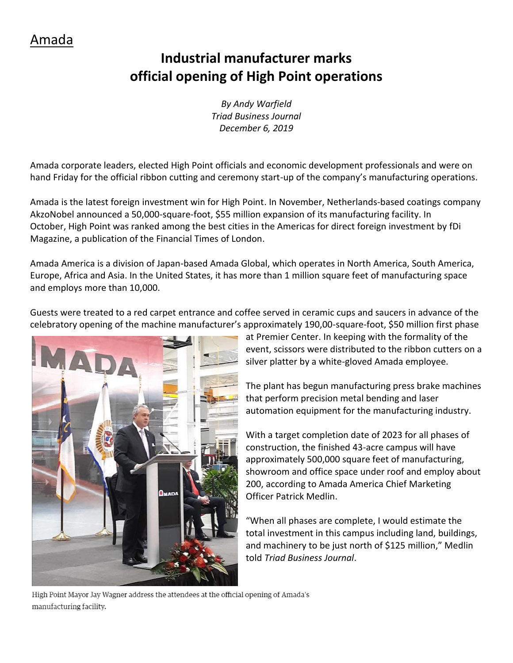## **Industrial manufacturer marks official opening of High Point operations**

*By Andy Warfield Triad Business Journal December 6, 2019*

Amada corporate leaders, elected High Point officials and economic development professionals and were on hand Friday for the official ribbon cutting and ceremony start-up of the company's manufacturing operations.

Amada is the latest foreign investment win for High Point. In November, Netherlands-based coatings company AkzoNobel announced a 50,000-square-foot, \$55 million expansion of its manufacturing facility. In October, High Point was ranked among the best cities in the Americas for direct foreign investment by fDi Magazine, a publication of the Financial Times of London.

Amada America is a division of Japan-based Amada Global, which operates in North America, South America, Europe, Africa and Asia. In the United States, it has more than 1 million square feet of manufacturing space and employs more than 10,000.

Guests were treated to a red carpet entrance and coffee served in ceramic cups and saucers in advance of the celebratory opening of the machine manufacturer's approximately 190,00-square-foot, \$50 million first phase



at Premier Center. In keeping with the formality of the event, scissors were distributed to the ribbon cutters on a silver platter by a white-gloved Amada employee.

The plant has begun manufacturing press brake machines that perform precision metal bending and laser automation equipment for the manufacturing industry.

With a target completion date of 2023 for all phases of construction, the finished 43-acre campus will have approximately 500,000 square feet of manufacturing, showroom and office space under roof and employ about 200, according to Amada America Chief Marketing Officer Patrick Medlin.

"When all phases are complete, I would estimate the total investment in this campus including land, buildings, and machinery to be just north of \$125 million," Medlin told *Triad Business Journal*.

High Point Mayor Jay Wagner address the attendees at the official opening of Amada's manufacturing facility.